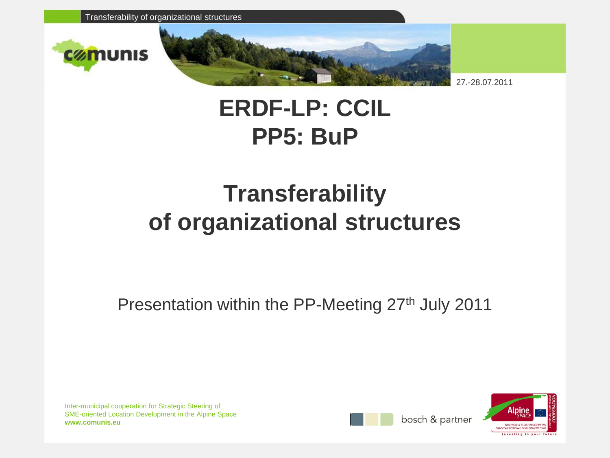





27.-28.07.2011

## **ERDF-LP: CCIL PP5: BuP**

## **Transferability of organizational structures**

Presentation within the PP-Meeting 27<sup>th</sup> July 2011

Inter-municipal cooperation for Strategic Steering of SME-oriented Location Development in the Alpine Space **www.comunis.eu**



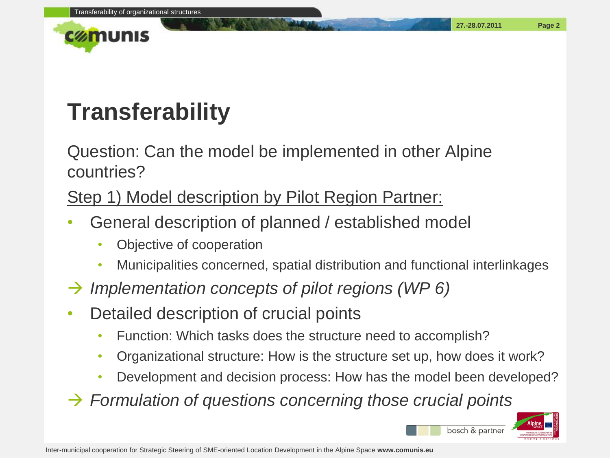



# **Transferability**

Question: Can the model be implemented in other Alpine countries?

### Step 1) Model description by Pilot Region Partner:

- General description of planned / established model
	- Objective of cooperation
	- Municipalities concerned, spatial distribution and functional interlinkages
- *Implementation concepts of pilot regions (WP 6)*
- Detailed description of crucial points
	- Function: Which tasks does the structure need to accomplish?
	- Organizational structure: How is the structure set up, how does it work?
	- Development and decision process: How has the model been developed?
- *Formulation of questions concerning those crucial points*



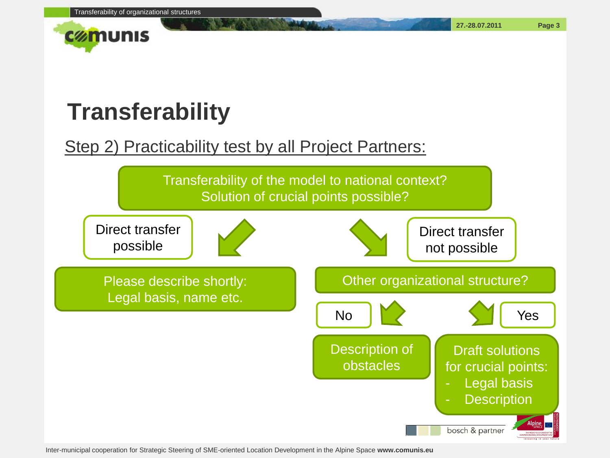

# **Transferability**

### Step 2) Practicability test by all Project Partners:



Inter-municipal cooperation for Strategic Steering of SME-oriented Location Development in the Alpine Space **www.comunis.eu**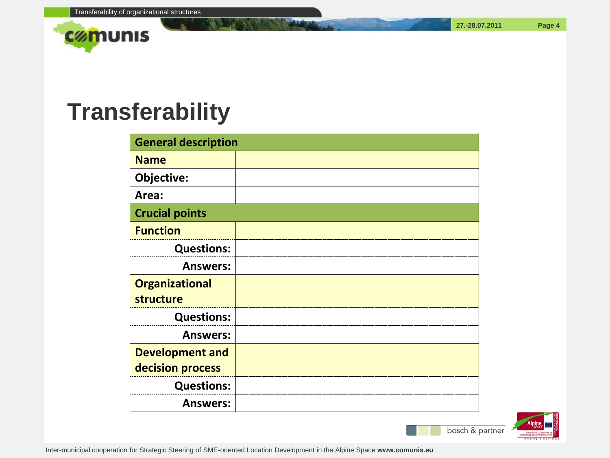

## **Transferability**

| <b>General description</b> |  |
|----------------------------|--|
| <b>Name</b>                |  |
| Objective:                 |  |
| Area:                      |  |
| <b>Crucial points</b>      |  |
| <b>Function</b>            |  |
| <b>Questions:</b>          |  |
| <b>Answers:</b>            |  |
| <b>Organizational</b>      |  |
| structure                  |  |
| <b>Questions:</b>          |  |
| <b>Answers:</b>            |  |
| <b>Development and</b>     |  |
| decision process           |  |
| <b>Questions:</b>          |  |
| <b>Answers:</b>            |  |